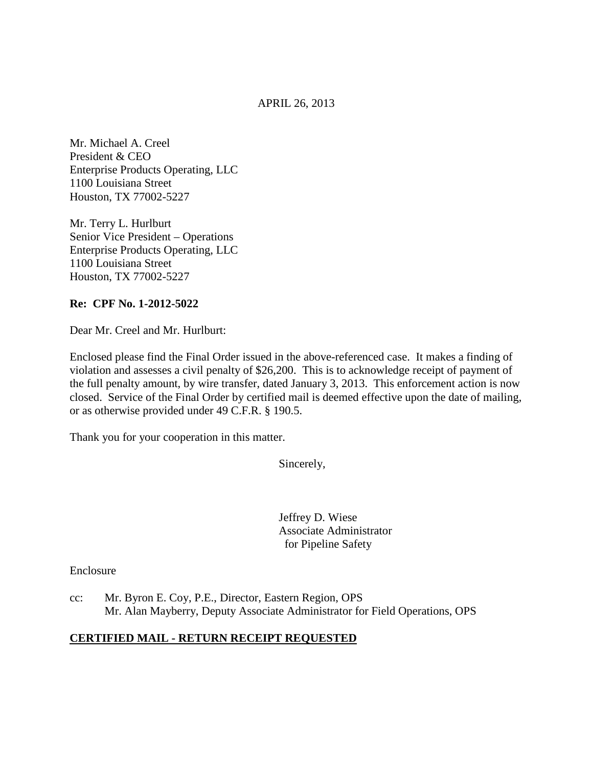APRIL 26, 2013

Mr. Michael A. Creel President & CEO Enterprise Products Operating, LLC 1100 Louisiana Street Houston, TX 77002-5227

Mr. Terry L. Hurlburt Senior Vice President – Operations Enterprise Products Operating, LLC 1100 Louisiana Street Houston, TX 77002-5227

## **Re: CPF No. 1-2012-5022**

Dear Mr. Creel and Mr. Hurlburt:

Enclosed please find the Final Order issued in the above-referenced case. It makes a finding of violation and assesses a civil penalty of \$26,200. This is to acknowledge receipt of payment of the full penalty amount, by wire transfer, dated January 3, 2013. This enforcement action is now closed. Service of the Final Order by certified mail is deemed effective upon the date of mailing, or as otherwise provided under 49 C.F.R. § 190.5.

Thank you for your cooperation in this matter.

Sincerely,

Jeffrey D. Wiese Associate Administrator for Pipeline Safety

Enclosure

cc: Mr. Byron E. Coy, P.E., Director, Eastern Region, OPS Mr. Alan Mayberry, Deputy Associate Administrator for Field Operations, OPS

## **CERTIFIED MAIL - RETURN RECEIPT REQUESTED**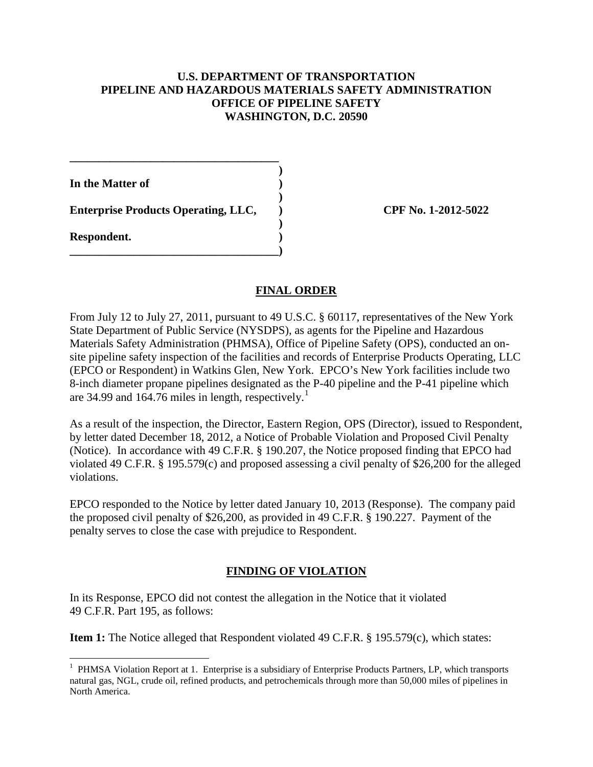## **U.S. DEPARTMENT OF TRANSPORTATION PIPELINE AND HAZARDOUS MATERIALS SAFETY ADMINISTRATION OFFICE OF PIPELINE SAFETY WASHINGTON, D.C. 20590**

 **) In the Matter of )** 

 **) Enterprise Products Operating, LLC, <br> CPF No. 1-2012-5022** 

**\_\_\_\_\_\_\_\_\_\_\_\_\_\_\_\_\_\_\_\_\_\_\_\_\_\_\_\_\_\_\_\_\_\_\_\_)** 

**\_\_\_\_\_\_\_\_\_\_\_\_\_\_\_\_\_\_\_\_\_\_\_\_\_\_\_\_\_\_\_\_\_\_\_\_** 

 **) Respondent. )** 

# **FINAL ORDER**

From July 12 to July 27, 2011, pursuant to 49 U.S.C. § 60117, representatives of the New York State Department of Public Service (NYSDPS), as agents for the Pipeline and Hazardous Materials Safety Administration (PHMSA), Office of Pipeline Safety (OPS), conducted an onsite pipeline safety inspection of the facilities and records of Enterprise Products Operating, LLC (EPCO or Respondent) in Watkins Glen, New York. EPCO's New York facilities include two 8-inch diameter propane pipelines designated as the P-40 pipeline and the P-41 pipeline which are 34.99 and  $164.76$  miles in length, respectively.<sup>1</sup>

As a result of the inspection, the Director, Eastern Region, OPS (Director), issued to Respondent, by letter dated December 18, 2012, a Notice of Probable Violation and Proposed Civil Penalty (Notice). In accordance with 49 C.F.R. § 190.207, the Notice proposed finding that EPCO had violated 49 C.F.R. § 195.579(c) and proposed assessing a civil penalty of \$26,200 for the alleged violations.

EPCO responded to the Notice by letter dated January 10, 2013 (Response). The company paid the proposed civil penalty of \$26,200, as provided in 49 C.F.R. § 190.227. Payment of the penalty serves to close the case with prejudice to Respondent.

# **FINDING OF VIOLATION**

In its Response, EPCO did not contest the allegation in the Notice that it violated 49 C.F.R. Part 195, as follows:

**Item 1:** The Notice alleged that Respondent violated 49 C.F.R. § 195.579(c), which states:

 $\overline{a}$ <sup>1</sup> PHMSA Violation Report at 1. Enterprise is a subsidiary of Enterprise Products Partners, LP, which transports natural gas, NGL, crude oil, refined products, and petrochemicals through more than 50,000 miles of pipelines in North America.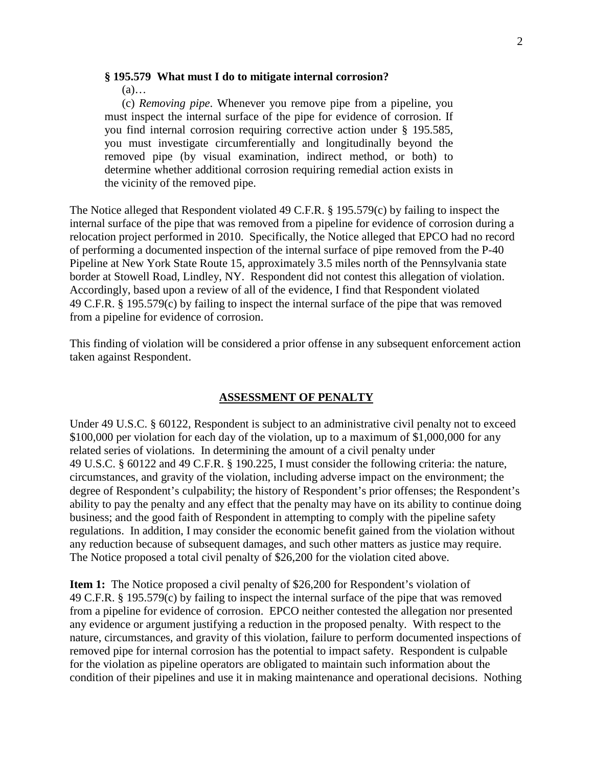#### **§ 195.579 What must I do to mitigate internal corrosion?**

(a)…

(c) *Removing pipe*. Whenever you remove pipe from a pipeline, you must inspect the internal surface of the pipe for evidence of corrosion. If you find internal corrosion requiring corrective action under § 195.585, you must investigate circumferentially and longitudinally beyond the removed pipe (by visual examination, indirect method, or both) to determine whether additional corrosion requiring remedial action exists in the vicinity of the removed pipe.

The Notice alleged that Respondent violated 49 C.F.R. § 195.579(c) by failing to inspect the internal surface of the pipe that was removed from a pipeline for evidence of corrosion during a relocation project performed in 2010. Specifically, the Notice alleged that EPCO had no record of performing a documented inspection of the internal surface of pipe removed from the P-40 Pipeline at New York State Route 15, approximately 3.5 miles north of the Pennsylvania state border at Stowell Road, Lindley, NY. Respondent did not contest this allegation of violation. Accordingly, based upon a review of all of the evidence, I find that Respondent violated 49 C.F.R. § 195.579(c) by failing to inspect the internal surface of the pipe that was removed from a pipeline for evidence of corrosion.

This finding of violation will be considered a prior offense in any subsequent enforcement action taken against Respondent.

#### **ASSESSMENT OF PENALTY**

Under 49 U.S.C. § 60122, Respondent is subject to an administrative civil penalty not to exceed \$100,000 per violation for each day of the violation, up to a maximum of \$1,000,000 for any related series of violations. In determining the amount of a civil penalty under 49 U.S.C. § 60122 and 49 C.F.R. § 190.225, I must consider the following criteria: the nature, circumstances, and gravity of the violation, including adverse impact on the environment; the degree of Respondent's culpability; the history of Respondent's prior offenses; the Respondent's ability to pay the penalty and any effect that the penalty may have on its ability to continue doing business; and the good faith of Respondent in attempting to comply with the pipeline safety regulations. In addition, I may consider the economic benefit gained from the violation without any reduction because of subsequent damages, and such other matters as justice may require. The Notice proposed a total civil penalty of \$26,200 for the violation cited above.

**Item 1:** The Notice proposed a civil penalty of \$26,200 for Respondent's violation of 49 C.F.R. § 195.579(c) by failing to inspect the internal surface of the pipe that was removed from a pipeline for evidence of corrosion. EPCO neither contested the allegation nor presented any evidence or argument justifying a reduction in the proposed penalty. With respect to the nature, circumstances, and gravity of this violation, failure to perform documented inspections of removed pipe for internal corrosion has the potential to impact safety. Respondent is culpable for the violation as pipeline operators are obligated to maintain such information about the condition of their pipelines and use it in making maintenance and operational decisions. Nothing